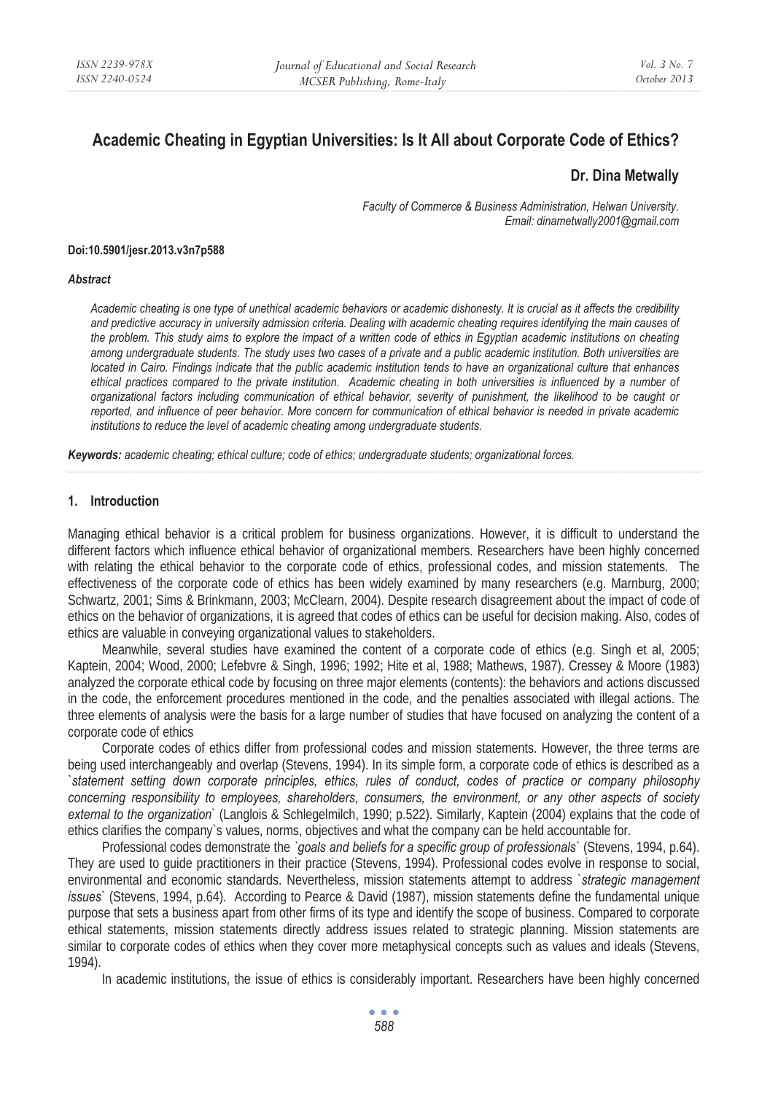# **Academic Cheating in Egyptian Universities: Is It All about Corporate Code of Ethics?**

# **Dr. Dina Metwally**

*Faculty of Commerce & Business Administration, Helwan University. Email: dinametwally2001@gmail.com* 

#### **Doi:10.5901/jesr.2013.v3n7p588**

#### *Abstract*

*Academic cheating is one type of unethical academic behaviors or academic dishonesty. It is crucial as it affects the credibility and predictive accuracy in university admission criteria. Dealing with academic cheating requires identifying the main causes of the problem. This study aims to explore the impact of a written code of ethics in Egyptian academic institutions on cheating among undergraduate students. The study uses two cases of a private and a public academic institution. Both universities are located in Cairo. Findings indicate that the public academic institution tends to have an organizational culture that enhances ethical practices compared to the private institution. Academic cheating in both universities is influenced by a number of organizational factors including communication of ethical behavior, severity of punishment, the likelihood to be caught or reported, and influence of peer behavior. More concern for communication of ethical behavior is needed in private academic institutions to reduce the level of academic cheating among undergraduate students.* 

*Keywords: academic cheating; ethical culture; code of ethics; undergraduate students; organizational forces.* 

#### **1. Introduction**

Managing ethical behavior is a critical problem for business organizations. However, it is difficult to understand the different factors which influence ethical behavior of organizational members. Researchers have been highly concerned with relating the ethical behavior to the corporate code of ethics, professional codes, and mission statements. The effectiveness of the corporate code of ethics has been widely examined by many researchers (e.g. Marnburg, 2000; Schwartz, 2001; Sims & Brinkmann, 2003; McClearn, 2004). Despite research disagreement about the impact of code of ethics on the behavior of organizations, it is agreed that codes of ethics can be useful for decision making. Also, codes of ethics are valuable in conveying organizational values to stakeholders.

Meanwhile, several studies have examined the content of a corporate code of ethics (e.g. Singh et al, 2005; Kaptein, 2004; Wood, 2000; Lefebvre & Singh, 1996; 1992; Hite et al, 1988; Mathews, 1987). Cressey & Moore (1983) analyzed the corporate ethical code by focusing on three major elements (contents): the behaviors and actions discussed in the code, the enforcement procedures mentioned in the code, and the penalties associated with illegal actions. The three elements of analysis were the basis for a large number of studies that have focused on analyzing the content of a corporate code of ethics

Corporate codes of ethics differ from professional codes and mission statements. However, the three terms are being used interchangeably and overlap (Stevens, 1994). In its simple form, a corporate code of ethics is described as a `*statement setting down corporate principles, ethics, rules of conduct, codes of practice or company philosophy concerning responsibility to employees, shareholders, consumers, the environment, or any other aspects of society external to the organization*` (Langlois & Schlegelmilch, 1990; p.522). Similarly, Kaptein (2004) explains that the code of ethics clarifies the company`s values, norms, objectives and what the company can be held accountable for.

Professional codes demonstrate the *`goals and beliefs for a specific group of professionals*` (Stevens, 1994, p.64). They are used to guide practitioners in their practice (Stevens, 1994). Professional codes evolve in response to social, environmental and economic standards. Nevertheless, mission statements attempt to address `*strategic management issues*` (Stevens, 1994, p.64). According to Pearce & David (1987), mission statements define the fundamental unique purpose that sets a business apart from other firms of its type and identify the scope of business. Compared to corporate ethical statements, mission statements directly address issues related to strategic planning. Mission statements are similar to corporate codes of ethics when they cover more metaphysical concepts such as values and ideals (Stevens, 1994).

In academic institutions, the issue of ethics is considerably important. Researchers have been highly concerned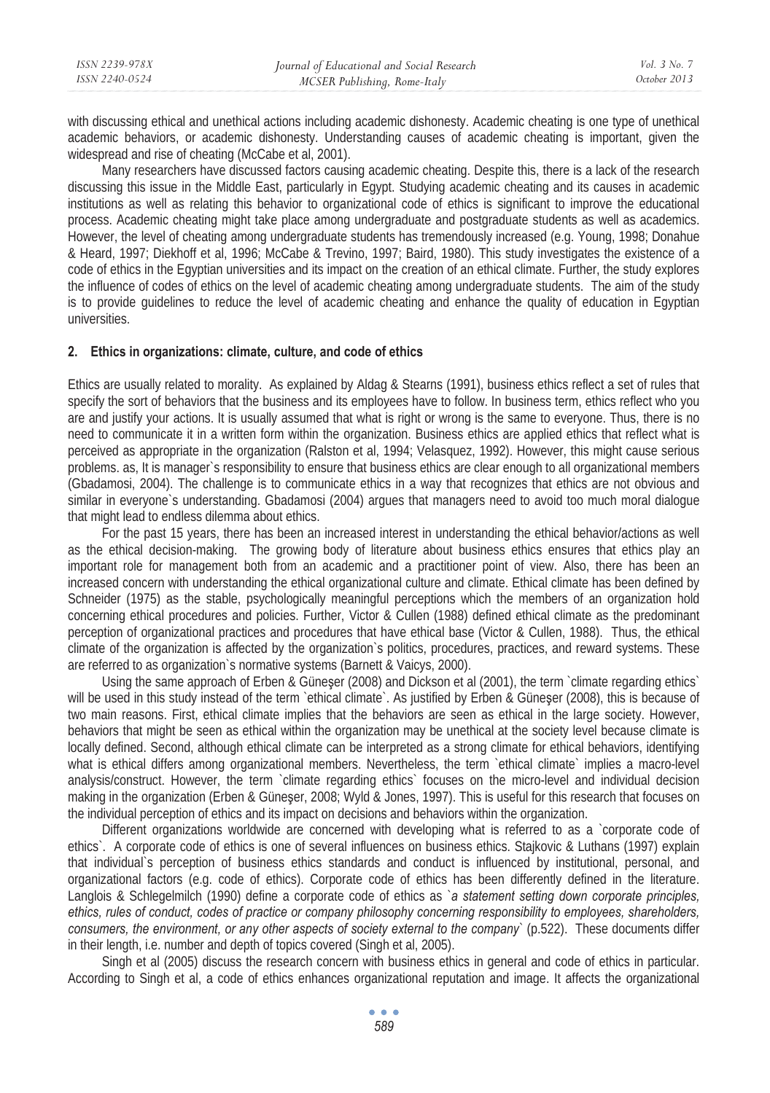| ISSN 2239-978X | Journal of Educational and Social Research | Vol. 3 No. 7 |
|----------------|--------------------------------------------|--------------|
| ISSN 2240-0524 | MCSER Publishing, Rome-Italy               | October 2013 |
|                |                                            |              |

with discussing ethical and unethical actions including academic dishonesty. Academic cheating is one type of unethical academic behaviors, or academic dishonesty. Understanding causes of academic cheating is important, given the widespread and rise of cheating (McCabe et al, 2001).

Many researchers have discussed factors causing academic cheating. Despite this, there is a lack of the research discussing this issue in the Middle East, particularly in Egypt. Studying academic cheating and its causes in academic institutions as well as relating this behavior to organizational code of ethics is significant to improve the educational process. Academic cheating might take place among undergraduate and postgraduate students as well as academics. However, the level of cheating among undergraduate students has tremendously increased (e.g. Young, 1998; Donahue & Heard, 1997; Diekhoff et al, 1996; McCabe & Trevino, 1997; Baird, 1980). This study investigates the existence of a code of ethics in the Egyptian universities and its impact on the creation of an ethical climate. Further, the study explores the influence of codes of ethics on the level of academic cheating among undergraduate students. The aim of the study is to provide guidelines to reduce the level of academic cheating and enhance the quality of education in Egyptian universities.

#### **2. Ethics in organizations: climate, culture, and code of ethics**

Ethics are usually related to morality. As explained by Aldag & Stearns (1991), business ethics reflect a set of rules that specify the sort of behaviors that the business and its employees have to follow. In business term, ethics reflect who you are and justify your actions. It is usually assumed that what is right or wrong is the same to everyone. Thus, there is no need to communicate it in a written form within the organization. Business ethics are applied ethics that reflect what is perceived as appropriate in the organization (Ralston et al, 1994; Velasquez, 1992). However, this might cause serious problems. as, It is manager`s responsibility to ensure that business ethics are clear enough to all organizational members (Gbadamosi, 2004). The challenge is to communicate ethics in a way that recognizes that ethics are not obvious and similar in everyone`s understanding. Gbadamosi (2004) argues that managers need to avoid too much moral dialogue that might lead to endless dilemma about ethics.

For the past 15 years, there has been an increased interest in understanding the ethical behavior/actions as well as the ethical decision-making. The growing body of literature about business ethics ensures that ethics play an important role for management both from an academic and a practitioner point of view. Also, there has been an increased concern with understanding the ethical organizational culture and climate. Ethical climate has been defined by Schneider (1975) as the stable, psychologically meaningful perceptions which the members of an organization hold concerning ethical procedures and policies. Further, Victor & Cullen (1988) defined ethical climate as the predominant perception of organizational practices and procedures that have ethical base (Victor & Cullen, 1988). Thus, the ethical climate of the organization is affected by the organization`s politics, procedures, practices, and reward systems. These are referred to as organization`s normative systems (Barnett & Vaicys, 2000).

Using the same approach of Erben & Güneser (2008) and Dickson et al (2001), the term `climate regarding ethics` will be used in this study instead of the term `ethical climate`. As justified by Erben & Güneşer (2008), this is because of two main reasons. First, ethical climate implies that the behaviors are seen as ethical in the large society. However, behaviors that might be seen as ethical within the organization may be unethical at the society level because climate is locally defined. Second, although ethical climate can be interpreted as a strong climate for ethical behaviors, identifying what is ethical differs among organizational members. Nevertheless, the term `ethical climate` implies a macro-level analysis/construct. However, the term `climate regarding ethics` focuses on the micro-level and individual decision making in the organization (Erben & Güneşer, 2008; Wyld & Jones, 1997). This is useful for this research that focuses on the individual perception of ethics and its impact on decisions and behaviors within the organization.

Different organizations worldwide are concerned with developing what is referred to as a `corporate code of ethics`. A corporate code of ethics is one of several influences on business ethics. Stajkovic & Luthans (1997) explain that individual`s perception of business ethics standards and conduct is influenced by institutional, personal, and organizational factors (e.g. code of ethics). Corporate code of ethics has been differently defined in the literature. Langlois & Schlegelmilch (1990) define a corporate code of ethics as `*a statement setting down corporate principles, ethics, rules of conduct, codes of practice or company philosophy concerning responsibility to employees, shareholders, consumers, the environment, or any other aspects of society external to the company*` (p.522). These documents differ in their length, i.e. number and depth of topics covered (Singh et al, 2005).

Singh et al (2005) discuss the research concern with business ethics in general and code of ethics in particular. According to Singh et al, a code of ethics enhances organizational reputation and image. It affects the organizational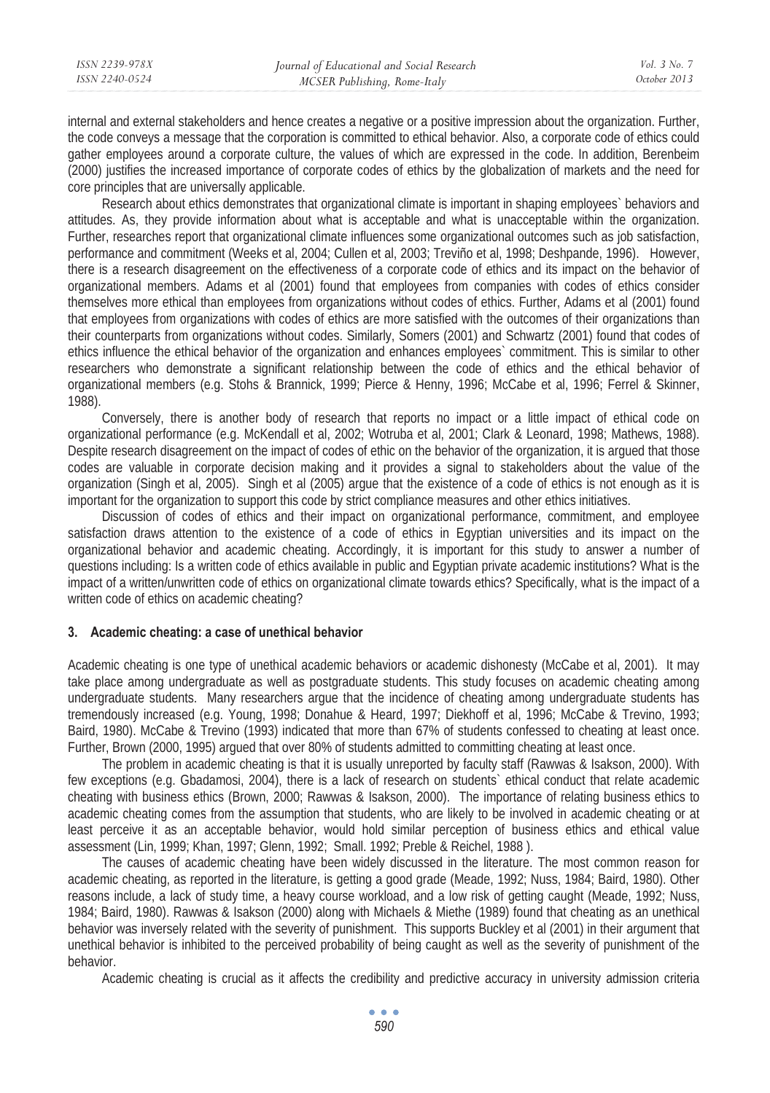| ISSN 2239-978X | Journal of Educational and Social Research | Vol. 3 No. 7 |
|----------------|--------------------------------------------|--------------|
| ISSN 2240-0524 | MCSER Publishing, Rome-Italy               | October 2013 |
|                |                                            |              |

internal and external stakeholders and hence creates a negative or a positive impression about the organization. Further, the code conveys a message that the corporation is committed to ethical behavior. Also, a corporate code of ethics could gather employees around a corporate culture, the values of which are expressed in the code. In addition, Berenbeim (2000) justifies the increased importance of corporate codes of ethics by the globalization of markets and the need for core principles that are universally applicable.

Research about ethics demonstrates that organizational climate is important in shaping employees` behaviors and attitudes. As, they provide information about what is acceptable and what is unacceptable within the organization. Further, researches report that organizational climate influences some organizational outcomes such as job satisfaction, performance and commitment (Weeks et al, 2004; Cullen et al, 2003; Treviño et al, 1998; Deshpande, 1996). However, there is a research disagreement on the effectiveness of a corporate code of ethics and its impact on the behavior of organizational members. Adams et al (2001) found that employees from companies with codes of ethics consider themselves more ethical than employees from organizations without codes of ethics. Further, Adams et al (2001) found that employees from organizations with codes of ethics are more satisfied with the outcomes of their organizations than their counterparts from organizations without codes. Similarly, Somers (2001) and Schwartz (2001) found that codes of ethics influence the ethical behavior of the organization and enhances employees` commitment. This is similar to other researchers who demonstrate a significant relationship between the code of ethics and the ethical behavior of organizational members (e.g. Stohs & Brannick, 1999; Pierce & Henny, 1996; McCabe et al, 1996; Ferrel & Skinner, 1988).

Conversely, there is another body of research that reports no impact or a little impact of ethical code on organizational performance (e.g. McKendall et al, 2002; Wotruba et al, 2001; Clark & Leonard, 1998; Mathews, 1988). Despite research disagreement on the impact of codes of ethic on the behavior of the organization, it is argued that those codes are valuable in corporate decision making and it provides a signal to stakeholders about the value of the organization (Singh et al, 2005). Singh et al (2005) argue that the existence of a code of ethics is not enough as it is important for the organization to support this code by strict compliance measures and other ethics initiatives.

Discussion of codes of ethics and their impact on organizational performance, commitment, and employee satisfaction draws attention to the existence of a code of ethics in Egyptian universities and its impact on the organizational behavior and academic cheating. Accordingly, it is important for this study to answer a number of questions including: Is a written code of ethics available in public and Egyptian private academic institutions? What is the impact of a written/unwritten code of ethics on organizational climate towards ethics? Specifically, what is the impact of a written code of ethics on academic cheating?

### **3. Academic cheating: a case of unethical behavior**

Academic cheating is one type of unethical academic behaviors or academic dishonesty (McCabe et al, 2001). It may take place among undergraduate as well as postgraduate students. This study focuses on academic cheating among undergraduate students. Many researchers argue that the incidence of cheating among undergraduate students has tremendously increased (e.g. Young, 1998; Donahue & Heard, 1997; Diekhoff et al, 1996; McCabe & Trevino, 1993; Baird, 1980). McCabe & Trevino (1993) indicated that more than 67% of students confessed to cheating at least once. Further, Brown (2000, 1995) argued that over 80% of students admitted to committing cheating at least once.

The problem in academic cheating is that it is usually unreported by faculty staff (Rawwas & Isakson, 2000). With few exceptions (e.g. Gbadamosi, 2004), there is a lack of research on students` ethical conduct that relate academic cheating with business ethics (Brown, 2000; Rawwas & Isakson, 2000). The importance of relating business ethics to academic cheating comes from the assumption that students, who are likely to be involved in academic cheating or at least perceive it as an acceptable behavior, would hold similar perception of business ethics and ethical value assessment (Lin, 1999; Khan, 1997; Glenn, 1992; Small. 1992; Preble & Reichel, 1988 ).

The causes of academic cheating have been widely discussed in the literature. The most common reason for academic cheating, as reported in the literature, is getting a good grade (Meade, 1992; Nuss, 1984; Baird, 1980). Other reasons include, a lack of study time, a heavy course workload, and a low risk of getting caught (Meade, 1992; Nuss, 1984; Baird, 1980). Rawwas & Isakson (2000) along with Michaels & Miethe (1989) found that cheating as an unethical behavior was inversely related with the severity of punishment. This supports Buckley et al (2001) in their argument that unethical behavior is inhibited to the perceived probability of being caught as well as the severity of punishment of the behavior.

Academic cheating is crucial as it affects the credibility and predictive accuracy in university admission criteria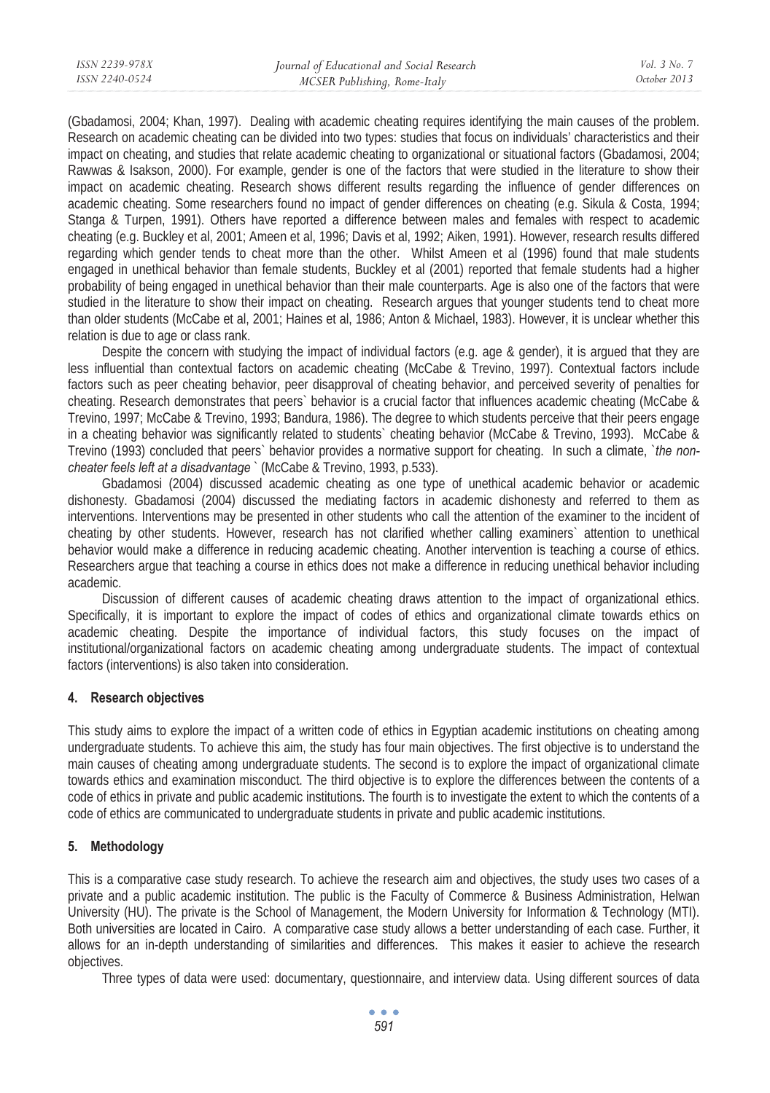(Gbadamosi, 2004; Khan, 1997). Dealing with academic cheating requires identifying the main causes of the problem. Research on academic cheating can be divided into two types: studies that focus on individuals' characteristics and their impact on cheating, and studies that relate academic cheating to organizational or situational factors (Gbadamosi, 2004; Rawwas & Isakson, 2000). For example, gender is one of the factors that were studied in the literature to show their impact on academic cheating. Research shows different results regarding the influence of gender differences on academic cheating. Some researchers found no impact of gender differences on cheating (e.g. Sikula & Costa, 1994; Stanga & Turpen, 1991). Others have reported a difference between males and females with respect to academic cheating (e.g. Buckley et al, 2001; Ameen et al, 1996; Davis et al, 1992; Aiken, 1991). However, research results differed regarding which gender tends to cheat more than the other. Whilst Ameen et al (1996) found that male students engaged in unethical behavior than female students, Buckley et al (2001) reported that female students had a higher probability of being engaged in unethical behavior than their male counterparts. Age is also one of the factors that were studied in the literature to show their impact on cheating. Research argues that younger students tend to cheat more than older students (McCabe et al, 2001; Haines et al, 1986; Anton & Michael, 1983). However, it is unclear whether this relation is due to age or class rank.

Despite the concern with studying the impact of individual factors (e.g. age & gender), it is argued that they are less influential than contextual factors on academic cheating (McCabe & Trevino, 1997). Contextual factors include factors such as peer cheating behavior, peer disapproval of cheating behavior, and perceived severity of penalties for cheating. Research demonstrates that peers` behavior is a crucial factor that influences academic cheating (McCabe & Trevino, 1997; McCabe & Trevino, 1993; Bandura, 1986). The degree to which students perceive that their peers engage in a cheating behavior was significantly related to students` cheating behavior (McCabe & Trevino, 1993). McCabe & Trevino (1993) concluded that peers` behavior provides a normative support for cheating. In such a climate, `*the noncheater feels left at a disadvantage* ` (McCabe & Trevino, 1993, p.533).

Gbadamosi (2004) discussed academic cheating as one type of unethical academic behavior or academic dishonesty. Gbadamosi (2004) discussed the mediating factors in academic dishonesty and referred to them as interventions. Interventions may be presented in other students who call the attention of the examiner to the incident of cheating by other students. However, research has not clarified whether calling examiners` attention to unethical behavior would make a difference in reducing academic cheating. Another intervention is teaching a course of ethics. Researchers argue that teaching a course in ethics does not make a difference in reducing unethical behavior including academic.

Discussion of different causes of academic cheating draws attention to the impact of organizational ethics. Specifically, it is important to explore the impact of codes of ethics and organizational climate towards ethics on academic cheating. Despite the importance of individual factors, this study focuses on the impact of institutional/organizational factors on academic cheating among undergraduate students. The impact of contextual factors (interventions) is also taken into consideration.

### **4. Research objectives**

This study aims to explore the impact of a written code of ethics in Egyptian academic institutions on cheating among undergraduate students. To achieve this aim, the study has four main objectives. The first objective is to understand the main causes of cheating among undergraduate students. The second is to explore the impact of organizational climate towards ethics and examination misconduct. The third objective is to explore the differences between the contents of a code of ethics in private and public academic institutions. The fourth is to investigate the extent to which the contents of a code of ethics are communicated to undergraduate students in private and public academic institutions.

# **5. Methodology**

This is a comparative case study research. To achieve the research aim and objectives, the study uses two cases of a private and a public academic institution. The public is the Faculty of Commerce & Business Administration, Helwan University (HU). The private is the School of Management, the Modern University for Information & Technology (MTI). Both universities are located in Cairo. A comparative case study allows a better understanding of each case. Further, it allows for an in-depth understanding of similarities and differences. This makes it easier to achieve the research objectives.

Three types of data were used: documentary, questionnaire, and interview data. Using different sources of data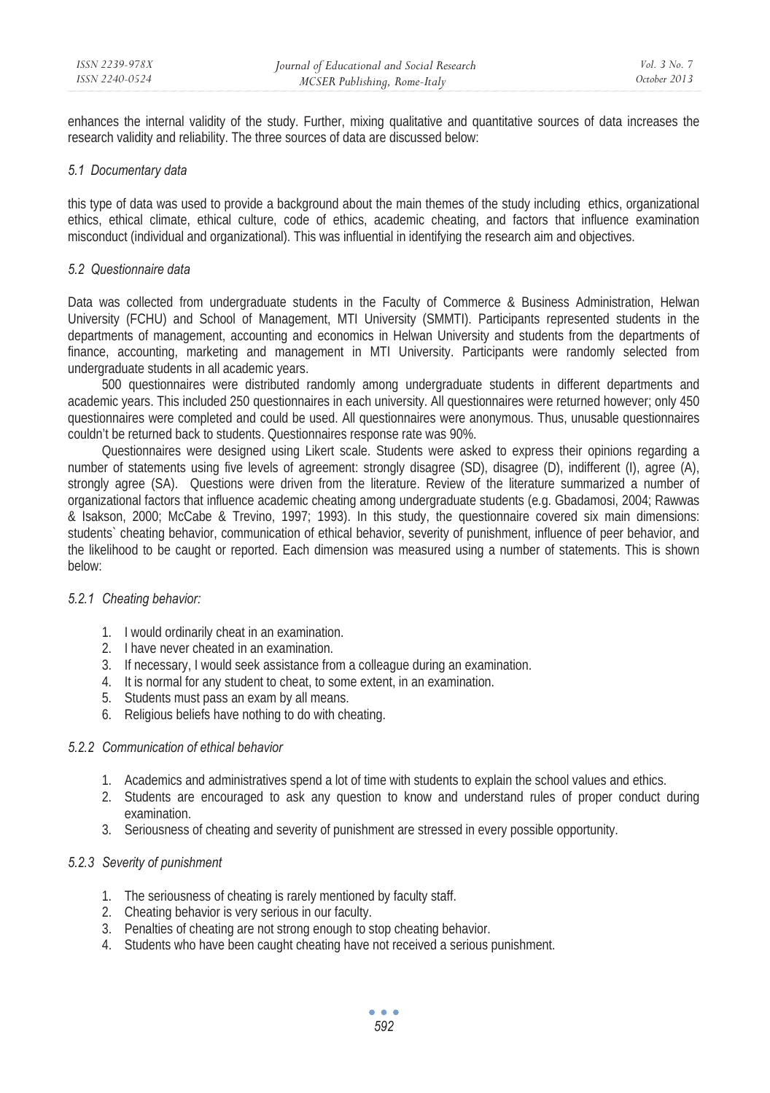enhances the internal validity of the study. Further, mixing qualitative and quantitative sources of data increases the research validity and reliability. The three sources of data are discussed below:

#### *5.1 Documentary data*

this type of data was used to provide a background about the main themes of the study including ethics, organizational ethics, ethical climate, ethical culture, code of ethics, academic cheating, and factors that influence examination misconduct (individual and organizational). This was influential in identifying the research aim and objectives.

#### *5.2 Questionnaire data*

Data was collected from undergraduate students in the Faculty of Commerce & Business Administration, Helwan University (FCHU) and School of Management, MTI University (SMMTI). Participants represented students in the departments of management, accounting and economics in Helwan University and students from the departments of finance, accounting, marketing and management in MTI University. Participants were randomly selected from undergraduate students in all academic years.

500 questionnaires were distributed randomly among undergraduate students in different departments and academic years. This included 250 questionnaires in each university. All questionnaires were returned however; only 450 questionnaires were completed and could be used. All questionnaires were anonymous. Thus, unusable questionnaires couldn't be returned back to students. Questionnaires response rate was 90%.

Questionnaires were designed using Likert scale. Students were asked to express their opinions regarding a number of statements using five levels of agreement: strongly disagree (SD), disagree (D), indifferent (I), agree (A), strongly agree (SA). Questions were driven from the literature. Review of the literature summarized a number of organizational factors that influence academic cheating among undergraduate students (e.g. Gbadamosi, 2004; Rawwas & Isakson, 2000; McCabe & Trevino, 1997; 1993). In this study, the questionnaire covered six main dimensions: students` cheating behavior, communication of ethical behavior, severity of punishment, influence of peer behavior, and the likelihood to be caught or reported. Each dimension was measured using a number of statements. This is shown below:

### *5.2.1 Cheating behavior:*

- 1. I would ordinarily cheat in an examination.
- 2. I have never cheated in an examination.
- 3. If necessary, I would seek assistance from a colleague during an examination.
- 4. It is normal for any student to cheat, to some extent, in an examination.
- 5. Students must pass an exam by all means.
- 6. Religious beliefs have nothing to do with cheating.

### *5.2.2 Communication of ethical behavior*

- 1. Academics and administratives spend a lot of time with students to explain the school values and ethics.
- 2. Students are encouraged to ask any question to know and understand rules of proper conduct during examination.
- 3. Seriousness of cheating and severity of punishment are stressed in every possible opportunity.

### *5.2.3 Severity of punishment*

- 1. The seriousness of cheating is rarely mentioned by faculty staff.
- 2. Cheating behavior is very serious in our faculty.
- 3. Penalties of cheating are not strong enough to stop cheating behavior.
- 4. Students who have been caught cheating have not received a serious punishment.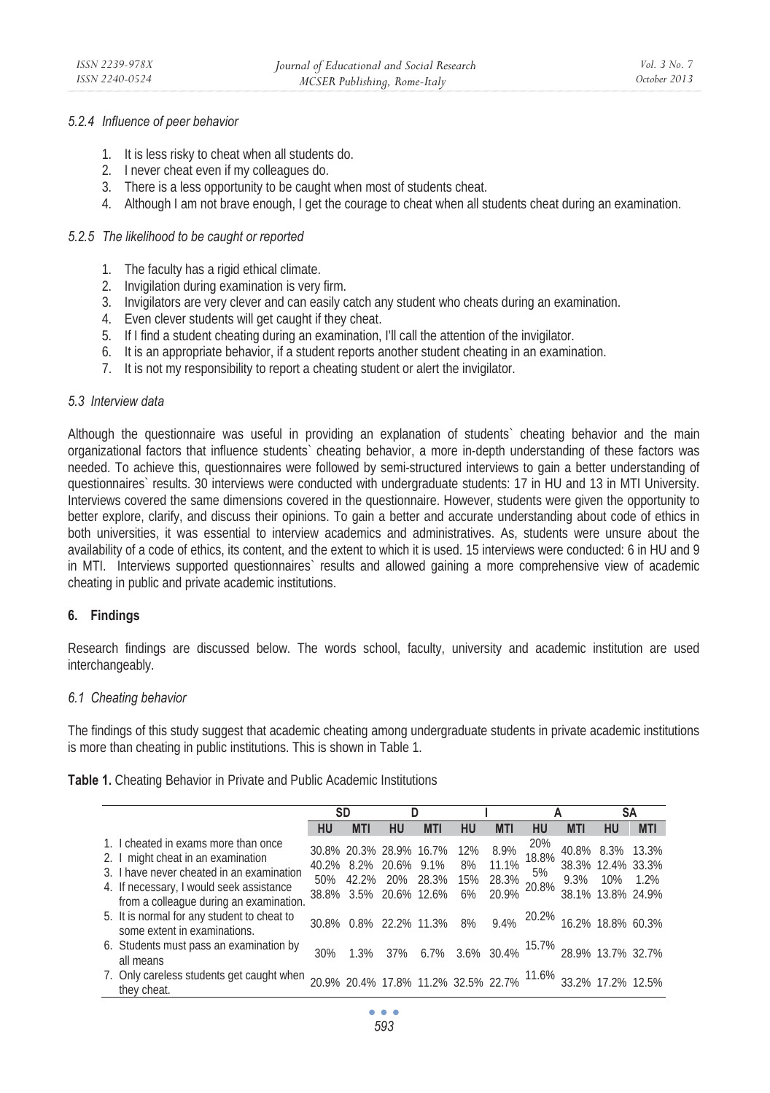### *5.2.4 Influence of peer behavior*

- 1. It is less risky to cheat when all students do.
- 2. I never cheat even if my colleagues do.
- 3. There is a less opportunity to be caught when most of students cheat.
- 4. Although I am not brave enough, I get the courage to cheat when all students cheat during an examination.

### *5.2.5 The likelihood to be caught or reported*

- 1. The faculty has a rigid ethical climate.
- 2. Invigilation during examination is very firm.
- 3. Invigilators are very clever and can easily catch any student who cheats during an examination.
- 4. Even clever students will get caught if they cheat.
- 5. If I find a student cheating during an examination, I'll call the attention of the invigilator.
- 6. It is an appropriate behavior, if a student reports another student cheating in an examination.
- 7. It is not my responsibility to report a cheating student or alert the invigilator.

#### *5.3 Interview data*

Although the questionnaire was useful in providing an explanation of students` cheating behavior and the main organizational factors that influence students` cheating behavior, a more in-depth understanding of these factors was needed. To achieve this, questionnaires were followed by semi-structured interviews to gain a better understanding of questionnaires` results. 30 interviews were conducted with undergraduate students: 17 in HU and 13 in MTI University. Interviews covered the same dimensions covered in the questionnaire. However, students were given the opportunity to better explore, clarify, and discuss their opinions. To gain a better and accurate understanding about code of ethics in both universities, it was essential to interview academics and administratives. As, students were unsure about the availability of a code of ethics, its content, and the extent to which it is used. 15 interviews were conducted: 6 in HU and 9 in MTI. Interviews supported questionnaires` results and allowed gaining a more comprehensive view of academic cheating in public and private academic institutions.

### **6. Findings**

Research findings are discussed below. The words school, faculty, university and academic institution are used interchangeably.

### *6.1 Cheating behavior*

The findings of this study suggest that academic cheating among undergraduate students in private academic institutions is more than cheating in public institutions. This is shown in Table 1.

|  |  |  |  |  |  | Table 1. Cheating Behavior in Private and Public Academic Institutions |
|--|--|--|--|--|--|------------------------------------------------------------------------|
|--|--|--|--|--|--|------------------------------------------------------------------------|

|                                                                                                                        |     | SD                                                                                        | D  |            |    |                |              | А          |                                        | SΑ                                                                     |
|------------------------------------------------------------------------------------------------------------------------|-----|-------------------------------------------------------------------------------------------|----|------------|----|----------------|--------------|------------|----------------------------------------|------------------------------------------------------------------------|
|                                                                                                                        | HU  | <b>MTI</b>                                                                                | HU | <b>MTI</b> | HU | <b>MTI</b>     | HU           | <b>MTI</b> | <b>HU</b>                              | <b>MTI</b>                                                             |
| 1. I cheated in exams more than once<br>2. I might cheat in an examination                                             |     | 30.8% 20.3% 28.9% 16.7% 12%                                                               |    |            |    | 8.9%           | 20%<br>18.8% |            |                                        | 40.8% 8.3% 13.3%                                                       |
| 3. I have never cheated in an examination<br>4. If necessary, I would seek assistance                                  |     | 40.2% 8.2% 20.6% 9.1% 8%<br>50% 42.2% 20% 28.3% 15% 28.3% 3%<br>38.8% 3.5% 20.6% 12.6% 6% |    |            |    | 11.1%<br>20.9% | 5%           | 9.3%       | 38.3% 12.4% 33.3%<br>38.1% 13.8% 24.9% | 10% 1.2%                                                               |
| from a colleague during an examination.<br>5. It is normal for any student to cheat to<br>some extent in examinations. |     | 30.8% 0.8% 22.2% 11.3% 8%                                                                 |    |            |    |                |              |            |                                        | 9.4% 20.2% 16.2% 18.8% 60.3%                                           |
| 6. Students must pass an examination by<br>all means                                                                   | 30% |                                                                                           |    |            |    |                |              |            |                                        | 1.3% 37% 6.7% 3.6% 30.4% <sup>15.7%</sup> 28.9% 13.7% 32.7%            |
| 7. Only careless students get caught when<br>they cheat.                                                               |     |                                                                                           |    |            |    |                |              |            |                                        | 20.9% 20.4% 17.8% 11.2% 32.5% 22.7% <sup>11.6%</sup> 33.2% 17.2% 12.5% |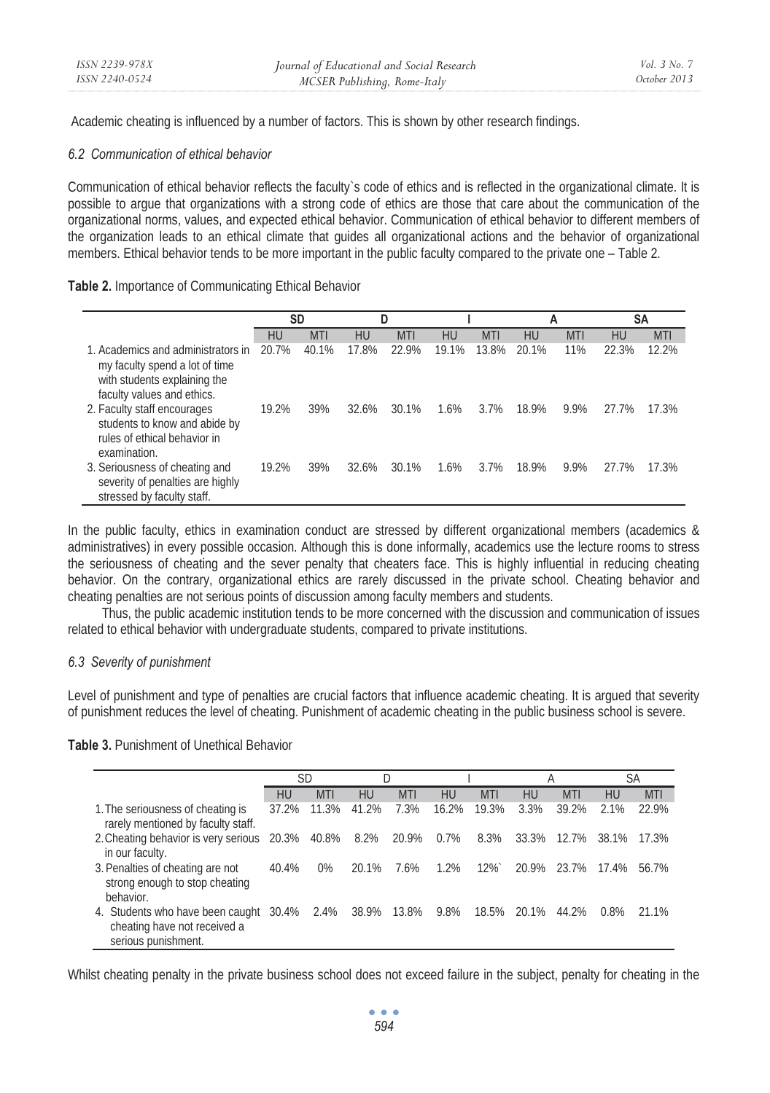Academic cheating is influenced by a number of factors. This is shown by other research findings.

### *6.2 Communication of ethical behavior*

Communication of ethical behavior reflects the faculty`s code of ethics and is reflected in the organizational climate. It is possible to argue that organizations with a strong code of ethics are those that care about the communication of the organizational norms, values, and expected ethical behavior. Communication of ethical behavior to different members of the organization leads to an ethical climate that guides all organizational actions and the behavior of organizational members. Ethical behavior tends to be more important in the public faculty compared to the private one – Table 2.

# **Table 2.** Importance of Communicating Ethical Behavior

|                                                                                                                                    | SD    |            |       | D          |       |            |       | А          |       | <b>SA</b>  |
|------------------------------------------------------------------------------------------------------------------------------------|-------|------------|-------|------------|-------|------------|-------|------------|-------|------------|
|                                                                                                                                    | HU    | <b>MTI</b> | HU    | <b>MTI</b> | HU    | <b>MTI</b> | HU    | <b>MTI</b> | HU    | <b>MTI</b> |
| 1. Academics and administrators in<br>my faculty spend a lot of time<br>with students explaining the<br>faculty values and ethics. | 20.7% | 40.1%      | 17.8% | 22.9%      | 19.1% | 13.8%      | 20.1% | 11%        | 22.3% | 12.2%      |
| 2. Faculty staff encourages<br>students to know and abide by<br>rules of ethical behavior in<br>examination.                       | 19.2% | 39%        | 32.6% | 30.1%      | 1.6%  | 3.7%       | 18.9% | 9.9%       | 27.7% | 17.3%      |
| 3. Seriousness of cheating and<br>severity of penalties are highly<br>stressed by faculty staff.                                   | 19.2% | 39%        | 32.6% | 30.1%      | 1.6%  | 3.7%       | 18.9% | 9.9%       | 27.7% | 17.3%      |

In the public faculty, ethics in examination conduct are stressed by different organizational members (academics & administratives) in every possible occasion. Although this is done informally, academics use the lecture rooms to stress the seriousness of cheating and the sever penalty that cheaters face. This is highly influential in reducing cheating behavior. On the contrary, organizational ethics are rarely discussed in the private school. Cheating behavior and cheating penalties are not serious points of discussion among faculty members and students.

Thus, the public academic institution tends to be more concerned with the discussion and communication of issues related to ethical behavior with undergraduate students, compared to private institutions.

# *6.3 Severity of punishment*

Level of punishment and type of penalties are crucial factors that influence academic cheating. It is argued that severity of punishment reduces the level of cheating. Punishment of academic cheating in the public business school is severe.

# **Table 3.** Punishment of Unethical Behavior

|                                                                                                    |       | SD          |             |            |         |            | А     |            | SA      |            |
|----------------------------------------------------------------------------------------------------|-------|-------------|-------------|------------|---------|------------|-------|------------|---------|------------|
|                                                                                                    | HU    | <b>MTI</b>  | HU          | <b>MTI</b> | HU      | <b>MTI</b> | HU    | <b>MTI</b> | HU      | <b>MTI</b> |
| 1. The seriousness of cheating is<br>rarely mentioned by faculty staff.                            | 37.2% | 11.3%       | 41.2%       | 7.3%       | 16.2%   | 19.3%      | 3.3%  | 39.2%      | 2.1%    | 22.9%      |
| 2. Cheating behavior is very serious<br>in our faculty.                                            |       | 20.3% 40.8% | 8.2%        | 20.9%      | $0.7\%$ | 8.3%       | 33.3% | 12.7%      | 38.1%   | 17.3%      |
| 3. Penalties of cheating are not<br>strong enough to stop cheating<br>behavior.                    | 40.4% | $0\%$       | 20.1%       | 7.6%       | 1.2%    | 12%        | 20.9% | 23.7%      | 17.4%   | 56.7%      |
| 4. Students who have been caught 30.4% 2.4%<br>cheating have not received a<br>serious punishment. |       |             | 38.9% 13.8% |            | 9.8%    | 18.5%      | 20.1% | 44.2%      | $0.8\%$ | 21.1%      |

Whilst cheating penalty in the private business school does not exceed failure in the subject, penalty for cheating in the

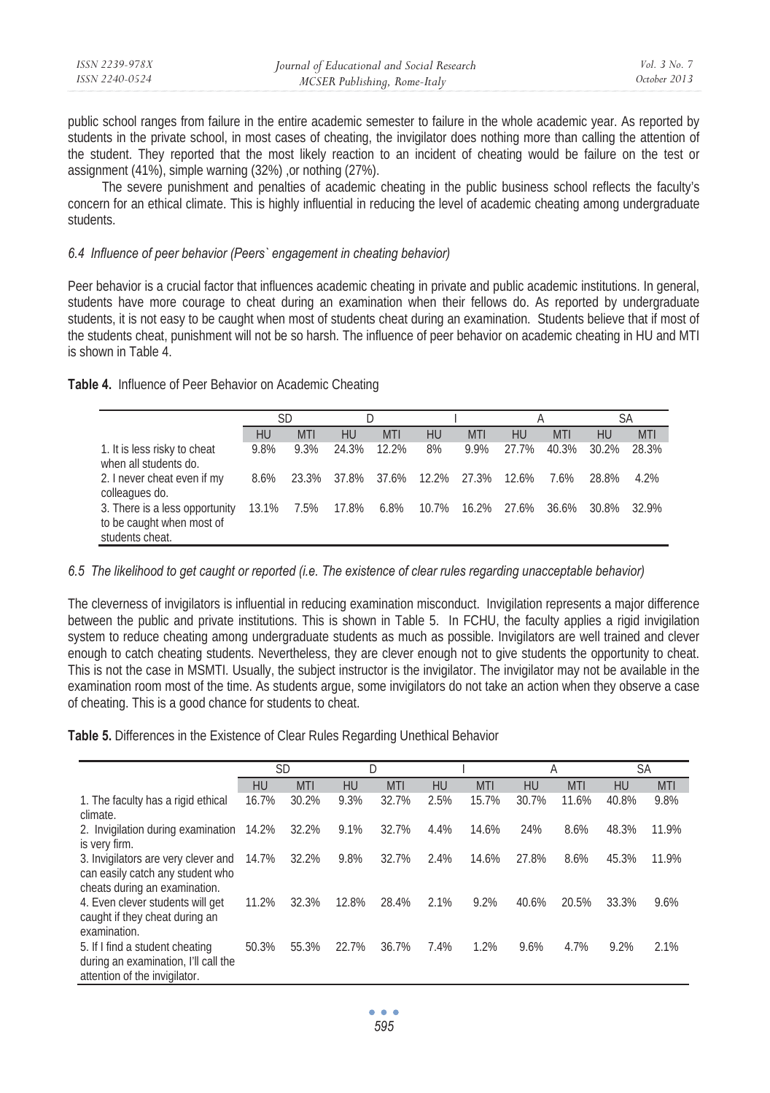| ISSN 2239-978X | Journal of Educational and Social Research | Vol. 3 No. 7 |
|----------------|--------------------------------------------|--------------|
| ISSN 2240-0524 | MCSER Publishing, Rome-Italy               | October 2013 |

public school ranges from failure in the entire academic semester to failure in the whole academic year. As reported by students in the private school, in most cases of cheating, the invigilator does nothing more than calling the attention of the student. They reported that the most likely reaction to an incident of cheating would be failure on the test or assignment (41%), simple warning (32%) ,or nothing (27%).

The severe punishment and penalties of academic cheating in the public business school reflects the faculty's concern for an ethical climate. This is highly influential in reducing the level of academic cheating among undergraduate students.

### *6.4 Influence of peer behavior (Peers` engagement in cheating behavior)*

Peer behavior is a crucial factor that influences academic cheating in private and public academic institutions. In general, students have more courage to cheat during an examination when their fellows do. As reported by undergraduate students, it is not easy to be caught when most of students cheat during an examination. Students believe that if most of the students cheat, punishment will not be so harsh. The influence of peer behavior on academic cheating in HU and MTI is shown in Table 4.

|  |  |  | Table 4. Influence of Peer Behavior on Academic Cheating |  |
|--|--|--|----------------------------------------------------------|--|
|--|--|--|----------------------------------------------------------|--|

|                                                                                |      | SD                    |       |            |           |                               |           |       | SА    |            |
|--------------------------------------------------------------------------------|------|-----------------------|-------|------------|-----------|-------------------------------|-----------|-------|-------|------------|
|                                                                                | HU   | <b>MTI</b>            | HU    | <b>MTI</b> | <b>HU</b> | <b>MTI</b>                    | <b>HU</b> | MTI   | HU    | <b>MTI</b> |
| 1. It is less risky to cheat<br>when all students do.                          | 9.8% | 9.3%                  | 24.3% | 12.2%      | 8%        | 9.9%                          | 27.7%     | 40.3% | 30.2% | 28.3%      |
| 2. I never cheat even if my<br>colleagues do.                                  | 8.6% | 23.3%                 |       |            |           | 37.8% 37.6% 12.2% 27.3% 12.6% |           | 7.6%  | 28.8% | 4.2%       |
| 3. There is a less opportunity<br>to be caught when most of<br>students cheat. |      | 13.1% 7.5% 17.8% 6.8% |       |            |           | 10.7%  16.2%  27.6%  36.6%    |           |       | 30.8% | 32.9%      |

### *6.5 The likelihood to get caught or reported (i.e. The existence of clear rules regarding unacceptable behavior)*

The cleverness of invigilators is influential in reducing examination misconduct. Invigilation represents a major difference between the public and private institutions. This is shown in Table 5. In FCHU, the faculty applies a rigid invigilation system to reduce cheating among undergraduate students as much as possible. Invigilators are well trained and clever enough to catch cheating students. Nevertheless, they are clever enough not to give students the opportunity to cheat. This is not the case in MSMTI. Usually, the subject instructor is the invigilator. The invigilator may not be available in the examination room most of the time. As students argue, some invigilators do not take an action when they observe a case of cheating. This is a good chance for students to cheat.

**Table 5.** Differences in the Existence of Clear Rules Regarding Unethical Behavior

|                                                                                                          | <b>SD</b> |            |           | D          |      |            |           | А          |           | SA         |
|----------------------------------------------------------------------------------------------------------|-----------|------------|-----------|------------|------|------------|-----------|------------|-----------|------------|
|                                                                                                          | <b>HU</b> | <b>MTI</b> | <b>HU</b> | <b>MTI</b> | HU   | <b>MTI</b> | <b>HU</b> | <b>MTI</b> | <b>HU</b> | <b>MTI</b> |
| 1. The faculty has a rigid ethical<br>climate.                                                           | 16.7%     | 30.2%      | 9.3%      | 32.7%      | 2.5% | 15.7%      | 30.7%     | 11.6%      | 40.8%     | 9.8%       |
| 2. Invigilation during examination<br>is very firm.                                                      | 14.2%     | 32.2%      | 9.1%      | 32.7%      | 4.4% | 14.6%      | 24%       | 8.6%       | 48.3%     | 11.9%      |
| 3. Invigilators are very clever and<br>can easily catch any student who<br>cheats during an examination. | 14.7%     | 32.2%      | 9.8%      | 32.7%      | 2.4% | 14.6%      | 27.8%     | 8.6%       | 45.3%     | 11.9%      |
| 4. Even clever students will get<br>caught if they cheat during an<br>examination.                       | 11.2%     | 32.3%      | 12.8%     | 28.4%      | 2.1% | 9.2%       | 40.6%     | 20.5%      | 33.3%     | 9.6%       |
| 5. If I find a student cheating<br>during an examination, I'll call the<br>attention of the invigilator. | 50.3%     | 55.3%      | 22.7%     | 36.7%      | 7.4% | 1.2%       | 9.6%      | 4.7%       | 9.2%      | 2.1%       |

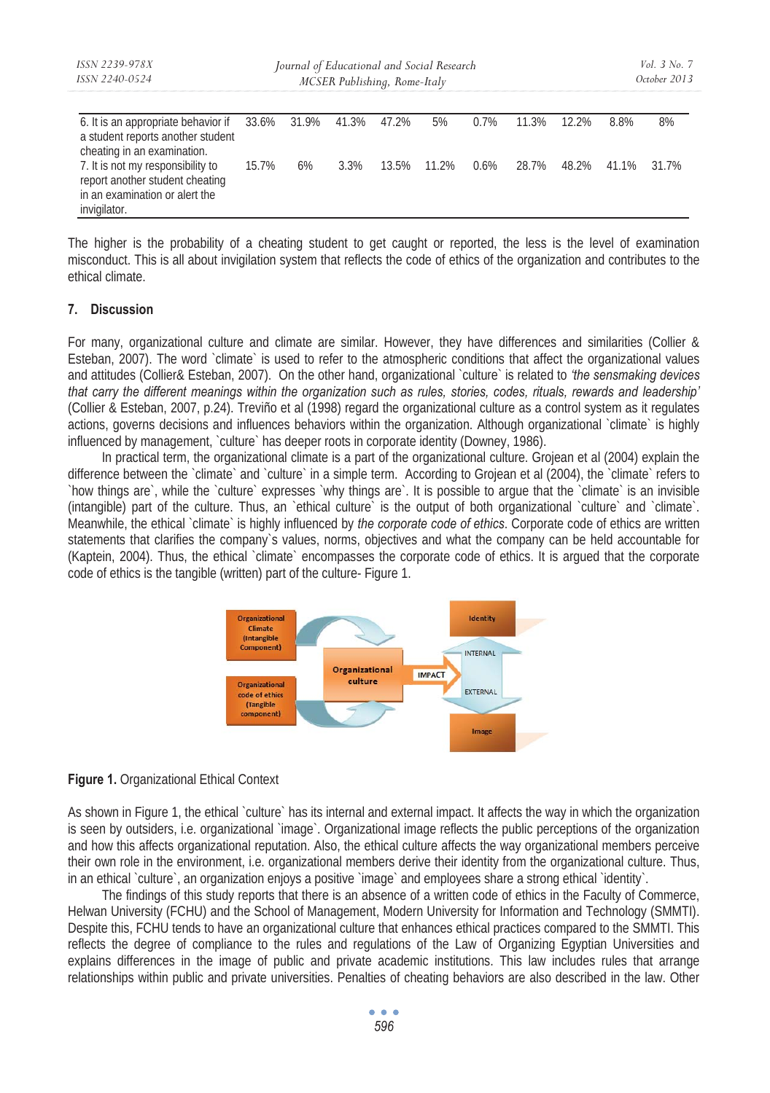| ISSN 2239-978X<br>ISSN 2240-0524                                                                                                |       | Journal of Educational and Social Research<br>MCSER Publishing, Rome-Italy |      |       |       |         |       |       |       |       |
|---------------------------------------------------------------------------------------------------------------------------------|-------|----------------------------------------------------------------------------|------|-------|-------|---------|-------|-------|-------|-------|
| 6. It is an appropriate behavior if 33.6% 31.9% 41.3% 47.2%<br>a student reports another student<br>cheating in an examination. |       |                                                                            |      |       | 5%    | $0.7\%$ | 11.3% | 12.2% | 8.8%  | 8%    |
| 7. It is not my responsibility to<br>report another student cheating<br>in an examination or alert the<br>invigilator.          | 15.7% | 6%                                                                         | 3.3% | 13.5% | 11.2% | $0.6\%$ | 28.7% | 48.2% | 41.1% | 31.7% |

The higher is the probability of a cheating student to get caught or reported, the less is the level of examination misconduct. This is all about invigilation system that reflects the code of ethics of the organization and contributes to the ethical climate.

### **7. Discussion**

For many, organizational culture and climate are similar. However, they have differences and similarities (Collier & Esteban, 2007). The word `climate` is used to refer to the atmospheric conditions that affect the organizational values and attitudes (Collier& Esteban, 2007). On the other hand, organizational `culture` is related to *'the sensmaking devices that carry the different meanings within the organization such as rules, stories, codes, rituals, rewards and leadership'* (Collier & Esteban, 2007, p.24). Treviño et al (1998) regard the organizational culture as a control system as it regulates actions, governs decisions and influences behaviors within the organization. Although organizational `climate` is highly influenced by management, `culture` has deeper roots in corporate identity (Downey, 1986).

In practical term, the organizational climate is a part of the organizational culture. Grojean et al (2004) explain the difference between the `climate` and `culture` in a simple term. According to Grojean et al (2004), the `climate` refers to `how things are`, while the `culture` expresses `why things are`. It is possible to argue that the `climate` is an invisible (intangible) part of the culture. Thus, an `ethical culture` is the output of both organizational `culture` and `climate`. Meanwhile, the ethical `climate` is highly influenced by *the corporate code of ethics*. Corporate code of ethics are written statements that clarifies the company`s values, norms, objectives and what the company can be held accountable for (Kaptein, 2004). Thus, the ethical `climate` encompasses the corporate code of ethics. It is argued that the corporate code of ethics is the tangible (written) part of the culture- Figure 1.



### **Figure 1.** Organizational Ethical Context

As shown in Figure 1, the ethical `culture` has its internal and external impact. It affects the way in which the organization is seen by outsiders, i.e. organizational `image`. Organizational image reflects the public perceptions of the organization and how this affects organizational reputation. Also, the ethical culture affects the way organizational members perceive their own role in the environment, i.e. organizational members derive their identity from the organizational culture. Thus, in an ethical `culture`, an organization enjoys a positive `image` and employees share a strong ethical `identity`.

The findings of this study reports that there is an absence of a written code of ethics in the Faculty of Commerce, Helwan University (FCHU) and the School of Management, Modern University for Information and Technology (SMMTI). Despite this, FCHU tends to have an organizational culture that enhances ethical practices compared to the SMMTI. This reflects the degree of compliance to the rules and regulations of the Law of Organizing Egyptian Universities and explains differences in the image of public and private academic institutions. This law includes rules that arrange relationships within public and private universities. Penalties of cheating behaviors are also described in the law. Other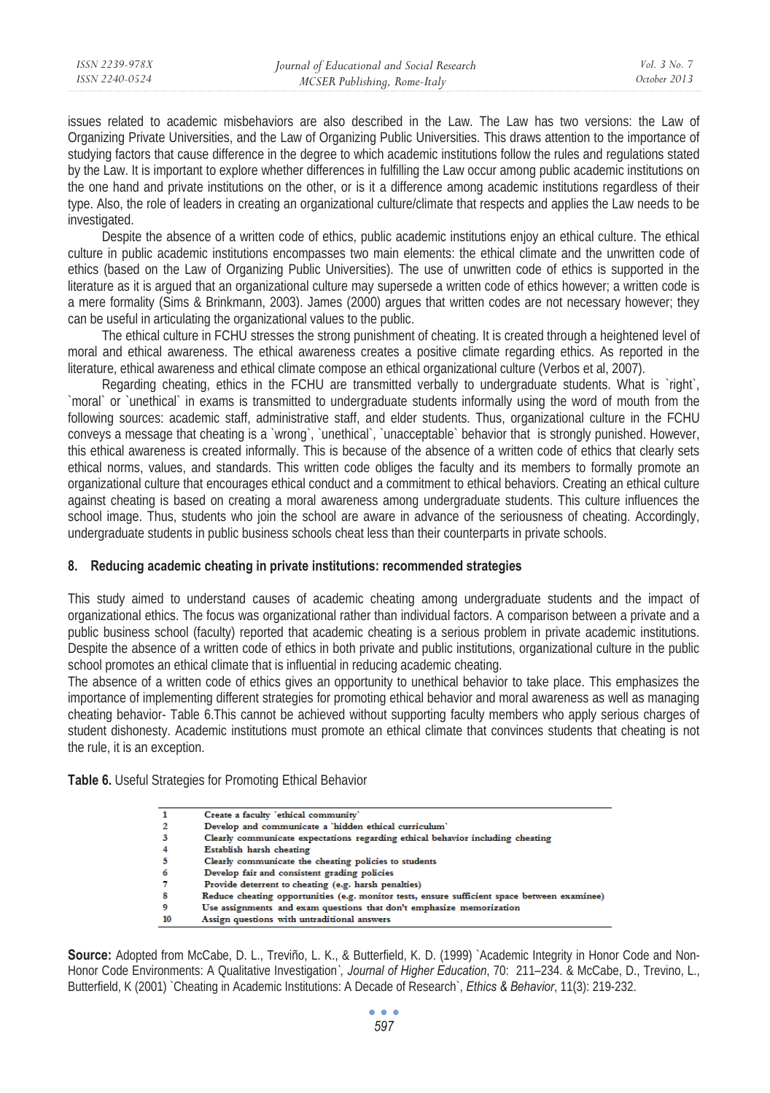issues related to academic misbehaviors are also described in the Law. The Law has two versions: the Law of Organizing Private Universities, and the Law of Organizing Public Universities. This draws attention to the importance of studying factors that cause difference in the degree to which academic institutions follow the rules and regulations stated by the Law. It is important to explore whether differences in fulfilling the Law occur among public academic institutions on the one hand and private institutions on the other, or is it a difference among academic institutions regardless of their type. Also, the role of leaders in creating an organizational culture/climate that respects and applies the Law needs to be investigated.

Despite the absence of a written code of ethics, public academic institutions enjoy an ethical culture. The ethical culture in public academic institutions encompasses two main elements: the ethical climate and the unwritten code of ethics (based on the Law of Organizing Public Universities). The use of unwritten code of ethics is supported in the literature as it is argued that an organizational culture may supersede a written code of ethics however; a written code is a mere formality (Sims & Brinkmann, 2003). James (2000) argues that written codes are not necessary however; they can be useful in articulating the organizational values to the public.

The ethical culture in FCHU stresses the strong punishment of cheating. It is created through a heightened level of moral and ethical awareness. The ethical awareness creates a positive climate regarding ethics. As reported in the literature, ethical awareness and ethical climate compose an ethical organizational culture (Verbos et al, 2007).

Regarding cheating, ethics in the FCHU are transmitted verbally to undergraduate students. What is `right`, `moral` or `unethical` in exams is transmitted to undergraduate students informally using the word of mouth from the following sources: academic staff, administrative staff, and elder students. Thus, organizational culture in the FCHU conveys a message that cheating is a `wrong`, `unethical`, `unacceptable` behavior that is strongly punished. However, this ethical awareness is created informally. This is because of the absence of a written code of ethics that clearly sets ethical norms, values, and standards. This written code obliges the faculty and its members to formally promote an organizational culture that encourages ethical conduct and a commitment to ethical behaviors. Creating an ethical culture against cheating is based on creating a moral awareness among undergraduate students. This culture influences the school image. Thus, students who join the school are aware in advance of the seriousness of cheating. Accordingly, undergraduate students in public business schools cheat less than their counterparts in private schools.

### **8. Reducing academic cheating in private institutions: recommended strategies**

This study aimed to understand causes of academic cheating among undergraduate students and the impact of organizational ethics. The focus was organizational rather than individual factors. A comparison between a private and a public business school (faculty) reported that academic cheating is a serious problem in private academic institutions. Despite the absence of a written code of ethics in both private and public institutions, organizational culture in the public school promotes an ethical climate that is influential in reducing academic cheating.

The absence of a written code of ethics gives an opportunity to unethical behavior to take place. This emphasizes the importance of implementing different strategies for promoting ethical behavior and moral awareness as well as managing cheating behavior- Table 6.This cannot be achieved without supporting faculty members who apply serious charges of student dishonesty. Academic institutions must promote an ethical climate that convinces students that cheating is not the rule, it is an exception.

**Table 6.** Useful Strategies for Promoting Ethical Behavior

|    | Create a faculty 'ethical community'                                                         |
|----|----------------------------------------------------------------------------------------------|
|    | Develop and communicate a 'hidden ethical curriculum'                                        |
|    | Clearly communicate expectations regarding ethical behavior including cheating               |
|    | Establish harsh cheating                                                                     |
|    | Clearly communicate the cheating policies to students                                        |
| 6  | Develop fair and consistent grading policies                                                 |
|    | Provide deterrent to cheating (e.g. harsh penalties)                                         |
| 8  | Reduce cheating opportunities (e.g. monitor tests, ensure sufficient space between examinee) |
| 9  | Use assignments and exam questions that don't emphasize memorization                         |
| 10 | Assign questions with untraditional answers                                                  |
|    |                                                                                              |

**Source:** Adopted from McCabe, D. L., Treviño, L. K., & Butterfield, K. D. (1999) `Academic Integrity in Honor Code and Non-Honor Code Environments: A Qualitative Investigation*`, Journal of Higher Education*, 70: 211–234. & McCabe, D., Trevino, L., Butterfield, K (2001) `Cheating in Academic Institutions: A Decade of Research`, *Ethics & Behavior*, 11(3): 219-232.

> $\bullet$   $\bullet$   $\bullet$ *597*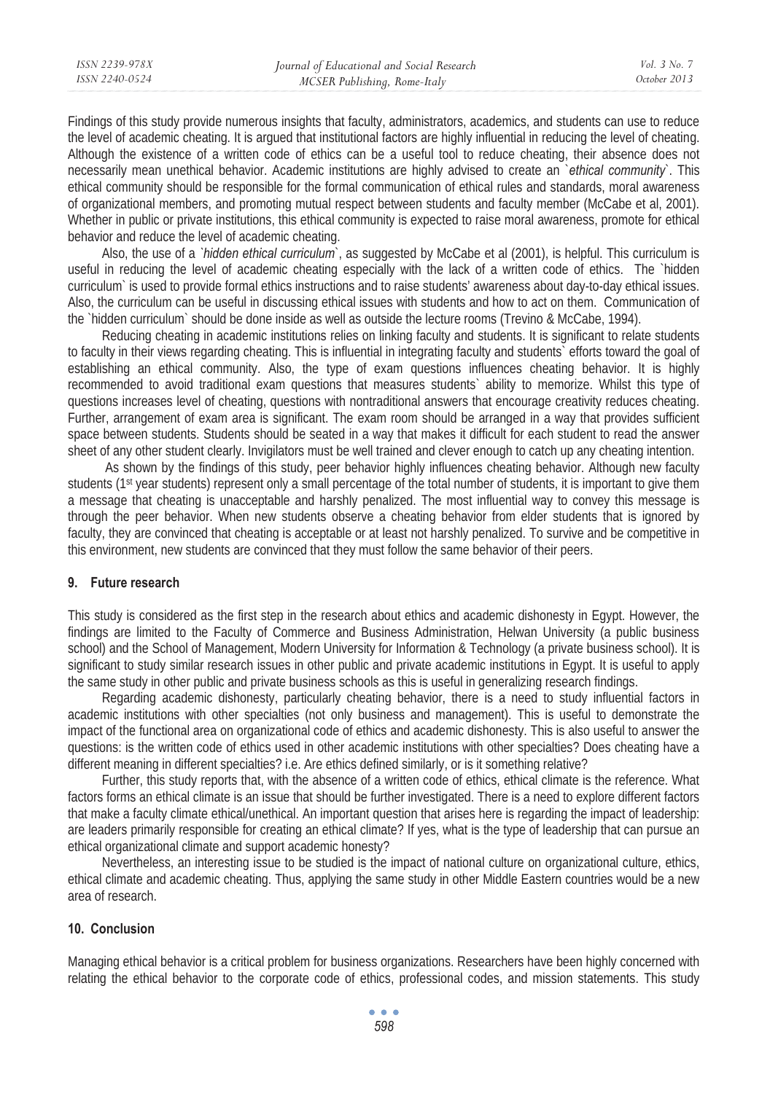| ISSN 2239-978X | Journal of Educational and Social Research | Vol. 3 No. 7 |
|----------------|--------------------------------------------|--------------|
| ISSN 2240-0524 | MCSER Publishing, Rome-Italy               | October 2013 |
|                |                                            |              |

Findings of this study provide numerous insights that faculty, administrators, academics, and students can use to reduce the level of academic cheating. It is argued that institutional factors are highly influential in reducing the level of cheating. Although the existence of a written code of ethics can be a useful tool to reduce cheating, their absence does not necessarily mean unethical behavior. Academic institutions are highly advised to create an `*ethical community*`. This ethical community should be responsible for the formal communication of ethical rules and standards, moral awareness of organizational members, and promoting mutual respect between students and faculty member (McCabe et al, 2001). Whether in public or private institutions, this ethical community is expected to raise moral awareness, promote for ethical behavior and reduce the level of academic cheating.

Also, the use of a *`hidden ethical curriculum*`, as suggested by McCabe et al (2001), is helpful. This curriculum is useful in reducing the level of academic cheating especially with the lack of a written code of ethics. The `hidden curriculum` is used to provide formal ethics instructions and to raise students' awareness about day-to-day ethical issues. Also, the curriculum can be useful in discussing ethical issues with students and how to act on them. Communication of the `hidden curriculum` should be done inside as well as outside the lecture rooms (Trevino & McCabe, 1994).

Reducing cheating in academic institutions relies on linking faculty and students. It is significant to relate students to faculty in their views regarding cheating. This is influential in integrating faculty and students` efforts toward the goal of establishing an ethical community. Also, the type of exam questions influences cheating behavior. It is highly recommended to avoid traditional exam questions that measures students` ability to memorize. Whilst this type of questions increases level of cheating, questions with nontraditional answers that encourage creativity reduces cheating. Further, arrangement of exam area is significant. The exam room should be arranged in a way that provides sufficient space between students. Students should be seated in a way that makes it difficult for each student to read the answer sheet of any other student clearly. Invigilators must be well trained and clever enough to catch up any cheating intention.

 As shown by the findings of this study, peer behavior highly influences cheating behavior. Although new faculty students (1<sup>st</sup> year students) represent only a small percentage of the total number of students, it is important to give them a message that cheating is unacceptable and harshly penalized. The most influential way to convey this message is through the peer behavior. When new students observe a cheating behavior from elder students that is ignored by faculty, they are convinced that cheating is acceptable or at least not harshly penalized. To survive and be competitive in this environment, new students are convinced that they must follow the same behavior of their peers.

### **9. Future research**

This study is considered as the first step in the research about ethics and academic dishonesty in Egypt. However, the findings are limited to the Faculty of Commerce and Business Administration, Helwan University (a public business school) and the School of Management, Modern University for Information & Technology (a private business school). It is significant to study similar research issues in other public and private academic institutions in Egypt. It is useful to apply the same study in other public and private business schools as this is useful in generalizing research findings.

Regarding academic dishonesty, particularly cheating behavior, there is a need to study influential factors in academic institutions with other specialties (not only business and management). This is useful to demonstrate the impact of the functional area on organizational code of ethics and academic dishonesty. This is also useful to answer the questions: is the written code of ethics used in other academic institutions with other specialties? Does cheating have a different meaning in different specialties? i.e. Are ethics defined similarly, or is it something relative?

Further, this study reports that, with the absence of a written code of ethics, ethical climate is the reference. What factors forms an ethical climate is an issue that should be further investigated. There is a need to explore different factors that make a faculty climate ethical/unethical. An important question that arises here is regarding the impact of leadership: are leaders primarily responsible for creating an ethical climate? If yes, what is the type of leadership that can pursue an ethical organizational climate and support academic honesty?

Nevertheless, an interesting issue to be studied is the impact of national culture on organizational culture, ethics, ethical climate and academic cheating. Thus, applying the same study in other Middle Eastern countries would be a new area of research.

#### **10. Conclusion**

Managing ethical behavior is a critical problem for business organizations. Researchers have been highly concerned with relating the ethical behavior to the corporate code of ethics, professional codes, and mission statements. This study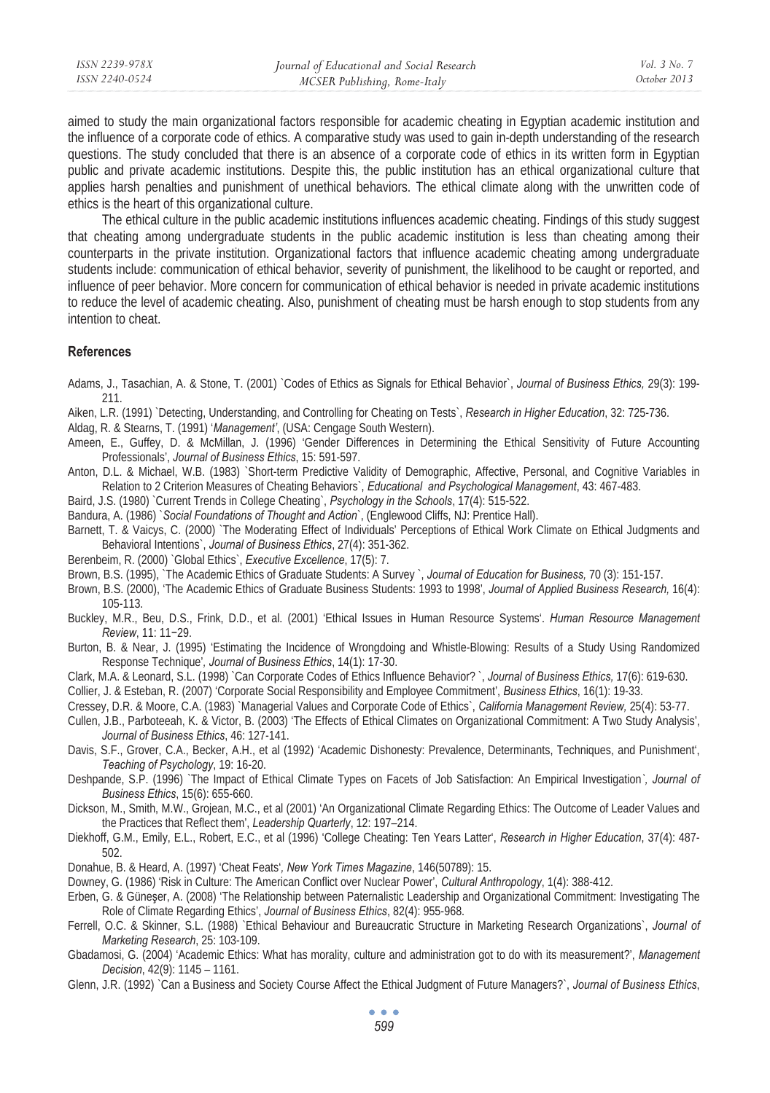| ISSN 2239-978X | Journal of Educational and Social Research | <i>Vol.</i> 3 No. 3 |
|----------------|--------------------------------------------|---------------------|
| ISSN 2240-0524 | MCSER Publishing, Rome-Italy               | October 2013        |
|                |                                            |                     |

aimed to study the main organizational factors responsible for academic cheating in Egyptian academic institution and the influence of a corporate code of ethics. A comparative study was used to gain in-depth understanding of the research questions. The study concluded that there is an absence of a corporate code of ethics in its written form in Egyptian public and private academic institutions. Despite this, the public institution has an ethical organizational culture that applies harsh penalties and punishment of unethical behaviors. The ethical climate along with the unwritten code of ethics is the heart of this organizational culture.

The ethical culture in the public academic institutions influences academic cheating. Findings of this study suggest that cheating among undergraduate students in the public academic institution is less than cheating among their counterparts in the private institution. Organizational factors that influence academic cheating among undergraduate students include: communication of ethical behavior, severity of punishment, the likelihood to be caught or reported, and influence of peer behavior. More concern for communication of ethical behavior is needed in private academic institutions to reduce the level of academic cheating. Also, punishment of cheating must be harsh enough to stop students from any intention to cheat.

#### **References**

- Adams, J., Tasachian, A. & Stone, T. (2001) `Codes of Ethics as Signals for Ethical Behavior`, *Journal of Business Ethics,* 29(3): 199- 211.
- Aiken, L.R. (1991) `Detecting, Understanding, and Controlling for Cheating on Tests`, *Research in Higher Education*, 32: 725-736.
- Aldag, R. & Stearns, T. (1991) '*Management'*, (USA: Cengage South Western).
- Ameen, E., Guffey, D. & McMillan, J. (1996) 'Gender Differences in Determining the Ethical Sensitivity of Future Accounting Professionals', *Journal of Business Ethics*, 15: 591-597.
- Anton, D.L. & Michael, W.B. (1983) `Short-term Predictive Validity of Demographic, Affective, Personal, and Cognitive Variables in Relation to 2 Criterion Measures of Cheating Behaviors`, *Educational and Psychological Management*, 43: 467-483.
- Baird, J.S. (1980) `Current Trends in College Cheating`, *Psychology in the Schools*, 17(4): 515-522.
- Bandura, A. (1986) `*Social Foundations of Thought and Action*`, (Englewood Cliffs, NJ: Prentice Hall).
- Barnett, T. & Vaicys, C. (2000) `The Moderating Effect of Individuals' Perceptions of Ethical Work Climate on Ethical Judgments and Behavioral Intentions`, *Journal of Business Ethics*, 27(4): 351-362.
- Berenbeim, R. (2000) `Global Ethics`, *Executive Excellence*, 17(5): 7.
- Brown, B.S. (1995), `The Academic Ethics of Graduate Students: A Survey `, *Journal of Education for Business,* 70 (3): 151-157.
- Brown, B.S. (2000), 'The Academic Ethics of Graduate Business Students: 1993 to 1998', *Journal of Applied Business Research,* 16(4): 105-113.
- Buckley, M.R., Beu, D.S., Frink, D.D., et al. (2001) 'Ethical Issues in Human Resource Systems'. *Human Resource Management Review*, 11: 11-29
- Burton, B. & Near, J. (1995) 'Estimating the Incidence of Wrongdoing and Whistle-Blowing: Results of a Study Using Randomized Response Technique'*, Journal of Business Ethics*, 14(1): 17-30.
- Clark, M.A. & Leonard, S.L. (1998) `Can Corporate Codes of Ethics Influence Behavior? `, *Journal of Business Ethics,* 17(6): 619-630.
- Collier, J. & Esteban, R. (2007) 'Corporate Social Responsibility and Employee Commitment', *Business Ethics*, 16(1): 19-33.
- Cressey, D.R. & Moore, C.A. (1983) `Managerial Values and Corporate Code of Ethics`, *California Management Review,* 25(4): 53-77.
- Cullen, J.B., Parboteeah, K. & Victor, B. (2003) 'The Effects of Ethical Climates on Organizational Commitment: A Two Study Analysis', *Journal of Business Ethics*, 46: 127-141.
- Davis, S.F., Grover, C.A., Becker, A.H., et al (1992) 'Academic Dishonesty: Prevalence, Determinants, Techniques, and Punishment', *Teaching of Psychology*, 19: 16-20.
- Deshpande, S.P. (1996) `The Impact of Ethical Climate Types on Facets of Job Satisfaction: An Empirical Investigation*`, Journal of Business Ethics*, 15(6): 655-660.
- Dickson, M., Smith, M.W., Grojean, M.C., et al (2001) 'An Organizational Climate Regarding Ethics: The Outcome of Leader Values and the Practices that Reflect them', *Leadership Quarterly*, 12: 197–214.
- Diekhoff, G.M., Emily, E.L., Robert, E.C., et al (1996) 'College Cheating: Ten Years Latter', *Research in Higher Education*, 37(4): 487- 502.
- Donahue, B. & Heard, A. (1997) 'Cheat Feats'*, New York Times Magazine*, 146(50789): 15.
- Downey, G. (1986) 'Risk in Culture: The American Conflict over Nuclear Power', *Cultural Anthropology*, 1(4): 388-412.
- Erben, G. & Güneşer, A. (2008) 'The Relationship between Paternalistic Leadership and Organizational Commitment: Investigating The Role of Climate Regarding Ethics', *Journal of Business Ethics*, 82(4): 955-968.
- Ferrell, O.C. & Skinner, S.L. (1988) `Ethical Behaviour and Bureaucratic Structure in Marketing Research Organizations`, *Journal of Marketing Research*, 25: 103-109.
- Gbadamosi, G. (2004) 'Academic Ethics: What has morality, culture and administration got to do with its measurement?', *Management Decision*, 42(9): 1145 – 1161.
- Glenn, J.R. (1992) `Can a Business and Society Course Affect the Ethical Judgment of Future Managers?`, *Journal of Business Ethics*,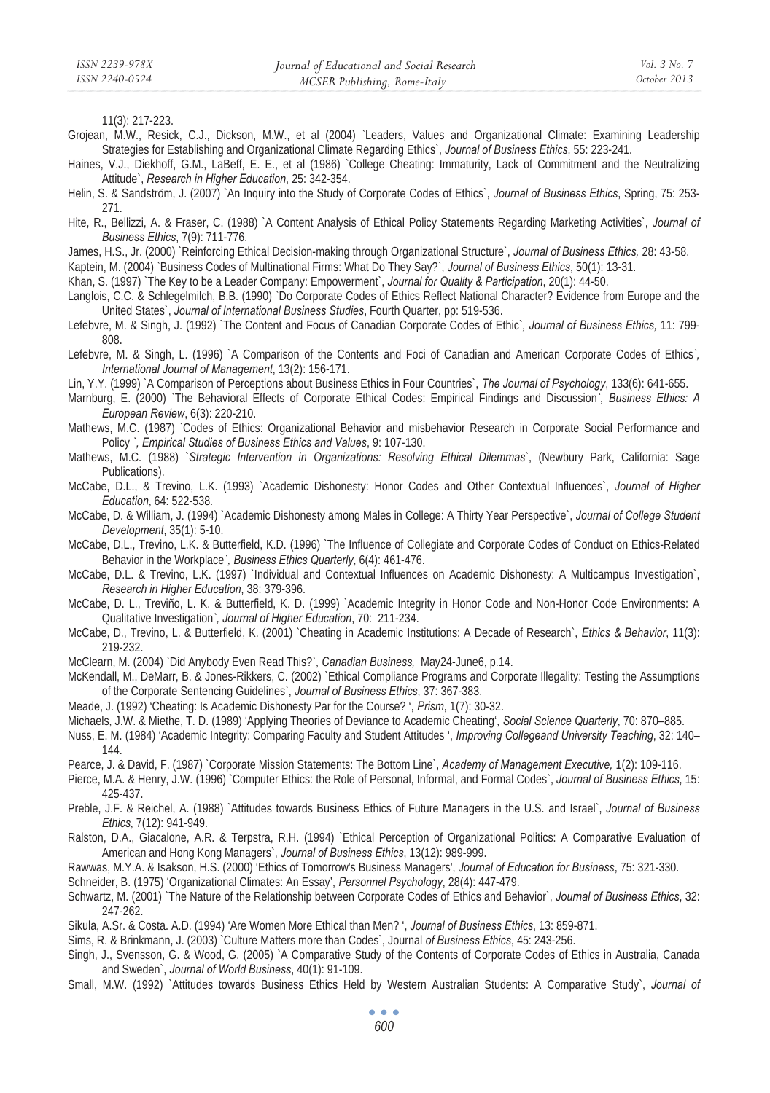11(3): 217-223.

- Grojean, M.W., Resick, C.J., Dickson, M.W., et al (2004) `Leaders, Values and Organizational Climate: Examining Leadership Strategies for Establishing and Organizational Climate Regarding Ethics`, *Journal of Business Ethics*, 55: 223-241.
- Haines, V.J., Diekhoff, G.M., LaBeff, E. E., et al (1986) `College Cheating: Immaturity, Lack of Commitment and the Neutralizing Attitude`, *Research in Higher Education*, 25: 342-354.
- Helin, S. & Sandström, J. (2007) `An Inquiry into the Study of Corporate Codes of Ethics`, *Journal of Business Ethics*, Spring, 75: 253- 271.
- Hite, R., Bellizzi, A. & Fraser, C. (1988) `A Content Analysis of Ethical Policy Statements Regarding Marketing Activities`, *Journal of Business Ethics*, 7(9): 711-776.
- James, H.S., Jr. (2000) `Reinforcing Ethical Decision-making through Organizational Structure`, *Journal of Business Ethics,* 28: 43-58.
- Kaptein, M. (2004) `Business Codes of Multinational Firms: What Do They Say?`, *Journal of Business Ethics*, 50(1): 13-31.
- Khan, S. (1997) `The Key to be a Leader Company: Empowerment`, *Journal for Quality & Participation*, 20(1): 44-50.
- Langlois, C.C. & Schlegelmilch, B.B. (1990) `Do Corporate Codes of Ethics Reflect National Character? Evidence from Europe and the United States`, *Journal of International Business Studies*, Fourth Quarter, pp: 519-536.
- Lefebvre, M. & Singh, J. (1992) `The Content and Focus of Canadian Corporate Codes of Ethic`*, Journal of Business Ethics,* 11: 799- 808.
- Lefebvre, M. & Singh, L. (1996) `A Comparison of the Contents and Foci of Canadian and American Corporate Codes of Ethics*`, International Journal of Management*, 13(2): 156-171.
- Lin, Y.Y. (1999) `A Comparison of Perceptions about Business Ethics in Four Countries`, *The Journal of Psychology*, 133(6): 641-655.
- Marnburg, E. (2000) `The Behavioral Effects of Corporate Ethical Codes: Empirical Findings and Discussion*`, Business Ethics: A European Review*, 6(3): 220-210.
- Mathews, M.C. (1987) `Codes of Ethics: Organizational Behavior and misbehavior Research in Corporate Social Performance and Policy *`, Empirical Studies of Business Ethics and Values*, 9: 107-130.
- Mathews, M.C. (1988) `*Strategic Intervention in Organizations: Resolving Ethical Dilemmas*`, (Newbury Park, California: Sage Publications).
- McCabe, D.L., & Trevino, L.K. (1993) `Academic Dishonesty: Honor Codes and Other Contextual Influences`, *Journal of Higher Education*, 64: 522-538.
- McCabe, D. & William, J. (1994) `Academic Dishonesty among Males in College: A Thirty Year Perspective`, *Journal of College Student Development*, 35(1): 5-10.
- McCabe, D.L., Trevino, L.K. & Butterfield, K.D. (1996) `The Influence of Collegiate and Corporate Codes of Conduct on Ethics-Related Behavior in the Workplace*`, Business Ethics Quarterly*, 6(4): 461-476.
- McCabe, D.L. & Trevino, L.K. (1997) `Individual and Contextual Influences on Academic Dishonesty: A Multicampus Investigation`, *Research in Higher Education*, 38: 379-396.
- McCabe, D. L., Treviño, L. K. & Butterfield, K. D. (1999) `Academic Integrity in Honor Code and Non-Honor Code Environments: A Qualitative Investigation*`, Journal of Higher Education*, 70: 211-234.
- McCabe, D., Trevino, L. & Butterfield, K. (2001) `Cheating in Academic Institutions: A Decade of Research`, *Ethics & Behavior*, 11(3): 219-232.
- McClearn, M. (2004) `Did Anybody Even Read This?`, *Canadian Business,* May24-June6, p.14.
- McKendall, M., DeMarr, B. & Jones-Rikkers, C. (2002) `Ethical Compliance Programs and Corporate Illegality: Testing the Assumptions of the Corporate Sentencing Guidelines`, *Journal of Business Ethics*, 37: 367-383.
- Meade, J. (1992) 'Cheating: Is Academic Dishonesty Par for the Course? ', *Prism*, 1(7): 30-32.
- Michaels, J.W. & Miethe, T. D. (1989) 'Applying Theories of Deviance to Academic Cheating', *Social Science Quarterly*, 70: 870–885.
- Nuss, E. M. (1984) 'Academic Integrity: Comparing Faculty and Student Attitudes ', *Improving Collegeand University Teaching*, 32: 140– 144.
- Pearce, J. & David, F. (1987) `Corporate Mission Statements: The Bottom Line`, *Academy of Management Executive,* 1(2): 109-116.
- Pierce, M.A. & Henry, J.W. (1996) `Computer Ethics: the Role of Personal, Informal, and Formal Codes`, *Journal of Business Ethics*, 15: 425-437.
- Preble, J.F. & Reichel, A. (1988) `Attitudes towards Business Ethics of Future Managers in the U.S. and Israel`, *Journal of Business Ethics*, 7(12): 941-949.
- Ralston, D.A., Giacalone, A.R. & Terpstra, R.H. (1994) `Ethical Perception of Organizational Politics: A Comparative Evaluation of American and Hong Kong Managers`, *Journal of Business Ethics*, 13(12): 989-999.
- Rawwas, M.Y.A. & Isakson, H.S. (2000) 'Ethics of Tomorrow's Business Managers', *Journal of Education for Business*, 75: 321-330.
- Schneider, B. (1975) 'Organizational Climates: An Essay', *Personnel Psychology*, 28(4): 447-479.
- Schwartz, M. (2001) `The Nature of the Relationship between Corporate Codes of Ethics and Behavior`, *Journal of Business Ethics*, 32: 247-262.
- Sikula, A.Sr. & Costa. A.D. (1994) 'Are Women More Ethical than Men? ', *Journal of Business Ethics*, 13: 859-871.
- Sims, R. & Brinkmann, J. (2003) `Culture Matters more than Codes`, Journal *of Business Ethics*, 45: 243-256.
- Singh, J., Svensson, G. & Wood, G. (2005) `A Comparative Study of the Contents of Corporate Codes of Ethics in Australia, Canada and Sweden`, *Journal of World Business*, 40(1): 91-109.
- Small, M.W. (1992) `Attitudes towards Business Ethics Held by Western Australian Students: A Comparative Study`, *Journal of*